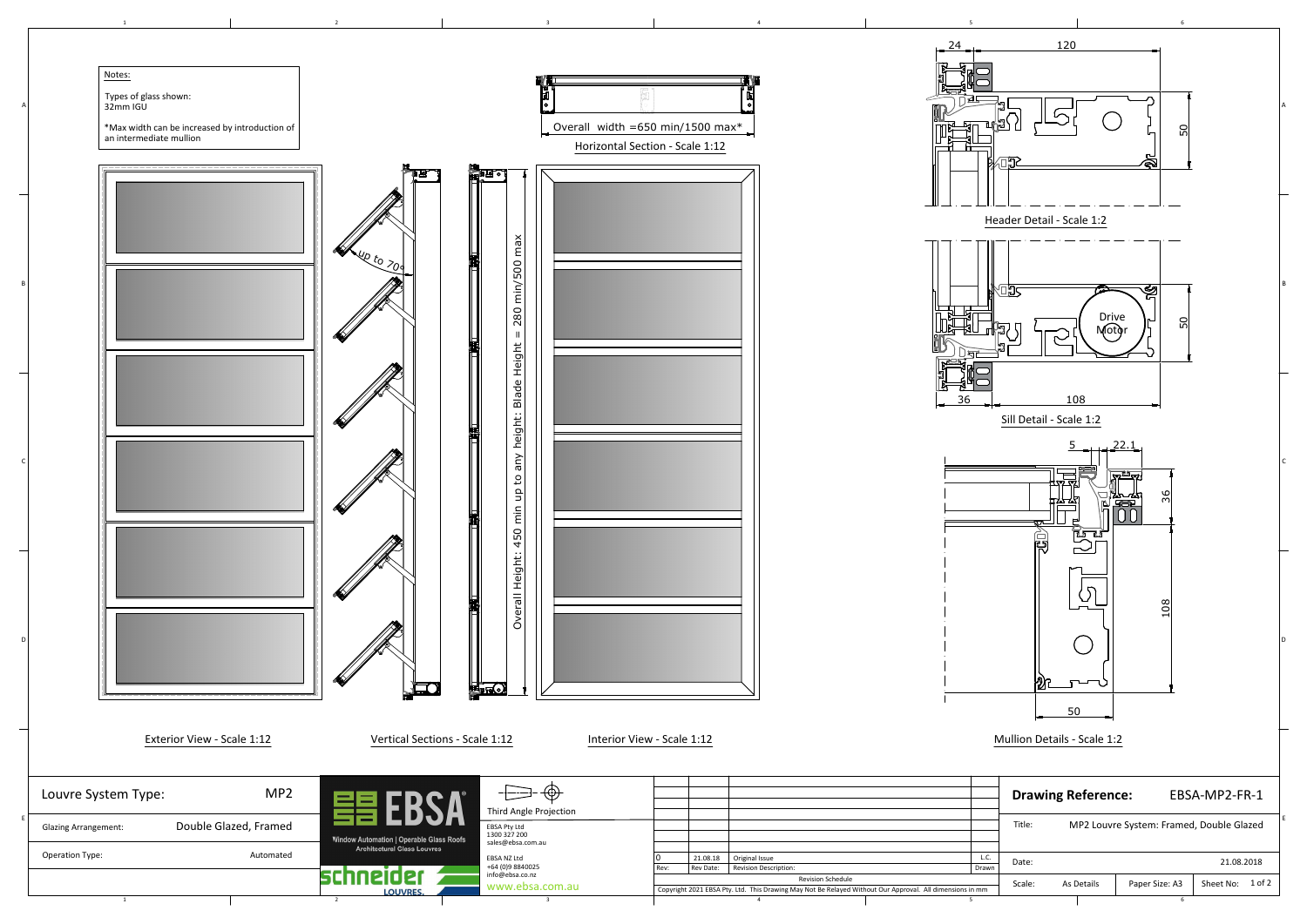| 1<br>$\overline{2}$                                                                                                      |                                                                                                                                                                    |                                                                                                                                                                                                                                                                                                                                                                                                                                                       |
|--------------------------------------------------------------------------------------------------------------------------|--------------------------------------------------------------------------------------------------------------------------------------------------------------------|-------------------------------------------------------------------------------------------------------------------------------------------------------------------------------------------------------------------------------------------------------------------------------------------------------------------------------------------------------------------------------------------------------------------------------------------------------|
| Notes:<br>Types of glass shown:<br>32mm IGU<br>*Max width can be increased by introduction of<br>an intermediate mullion | Overall width = 650 min/1500 max*<br>Horizontal Section - Scale 1:12                                                                                               | 120<br>24<br>임                                                                                                                                                                                                                                                                                                                                                                                                                                        |
| 4400200                                                                                                                  | <b>THE OF</b><br>min/500 max                                                                                                                                       | Header Detail - Scale 1:2<br>ৠ<br>יטן                                                                                                                                                                                                                                                                                                                                                                                                                 |
|                                                                                                                          | 280<br>$\parallel$<br>Blade Height                                                                                                                                 | Drive<br>Motgr<br>임<br>108<br>36<br>Sill Detail - Scale 1:2                                                                                                                                                                                                                                                                                                                                                                                           |
| K                                                                                                                        | any height:<br>$\overline{5}$<br>450                                                                                                                               | 22.1<br><u> IThropi</u><br>$\begin{picture}(20,5) \put(0,0) {\line(0,1){10}} \put(15,0) {\line(0,1){10}} \put(15,0) {\line(0,1){10}} \put(15,0) {\line(0,1){10}} \put(15,0) {\line(0,1){10}} \put(15,0) {\line(0,1){10}} \put(15,0) {\line(0,1){10}} \put(15,0) {\line(0,1){10}} \put(15,0) {\line(0,1){10}} \put(15,0) {\line(0,1){10}} \put(15,0) {\line(0,1){10}} \put(15,0) {\line(0,$<br>"你"<br>"不可<br>്ട്യ<br>₪<br>高<br><b>Let</b><br><u>یہ</u> |
|                                                                                                                          | Overall Height:                                                                                                                                                    | $\zeta$<br>08                                                                                                                                                                                                                                                                                                                                                                                                                                         |
| Exterior View - Scale 1:12                                                                                               | <b>LEO</b><br><b>HE</b><br>Vertical Sections - Scale 1:12<br>Interior View - Scale 1:12                                                                            | இ<br>T<br>ూ<br>50<br>Mullion Details - Scale 1:2                                                                                                                                                                                                                                                                                                                                                                                                      |
| MP <sub>2</sub><br>Louvre System Type:                                                                                   | $-\Box$<br>$\cdot$ $\bigoplus$                                                                                                                                     | <b>Drawing Reference:</b><br>EBSA-MP2-FR-1                                                                                                                                                                                                                                                                                                                                                                                                            |
| Double Glazed, Framed<br><b>Glazing Arrangement:</b><br>Window Automation   Operable Glass Roofs                         | Third Angle Projection<br>EBSA Pty Ltd<br>1300 327 200<br>sales@ebsa.com.au                                                                                        | MP2 Louvre System: Framed, Double Glazed<br>Title:                                                                                                                                                                                                                                                                                                                                                                                                    |
| <b>Architectural Glass Louvres</b><br>Automated<br>Operation Type:<br>021                                                | Original Issue<br>21.08.18<br>EBSA NZ Ltd<br>+64 (0)9 8840025<br>Revision Description:<br>Rev Date:<br>Rev:<br>info@ebsa.co.nz                                     | L.C.<br>21.08.2018<br>Date:<br>Drawn                                                                                                                                                                                                                                                                                                                                                                                                                  |
| <b>LOUVRES</b><br>1<br>$\overline{2}$                                                                                    | Revision Schedule<br>www.ebsa.com.au<br>Copyright 2021 EBSA Pty. Ltd. This Drawing May Not Be Relayed Without Our Approval. All dimensions in mm<br>$\overline{4}$ | Paper Size: A3<br>Sheet No: 1 of 2<br>Scale:<br>As Details                                                                                                                                                                                                                                                                                                                                                                                            |